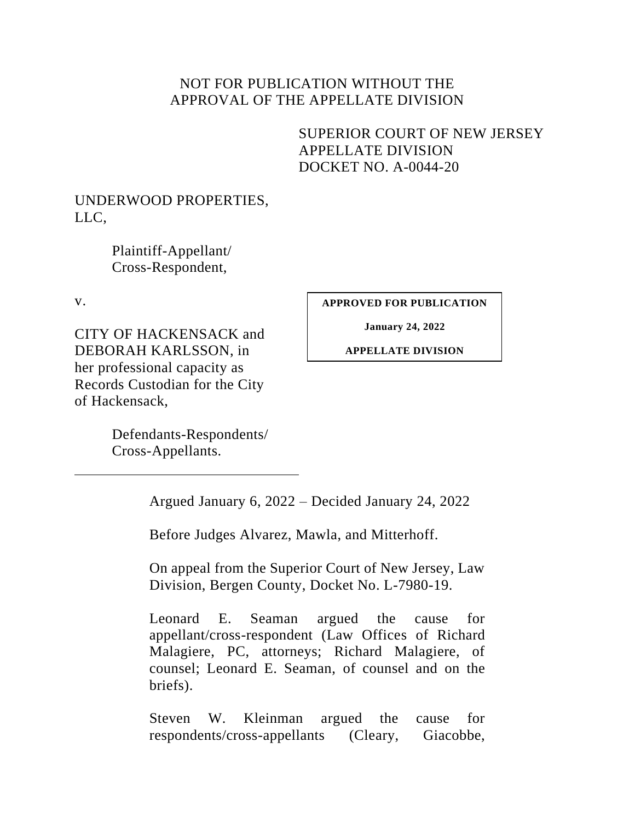## NOT FOR PUBLICATION WITHOUT THE APPROVAL OF THE APPELLATE DIVISION

# <span id="page-0-0"></span>SUPERIOR COURT OF NEW JERSEY APPELLATE DIVISION DOCKET NO. A-0044-20

## UNDERWOOD PROPERTIES, LLC,

Plaintiff-Appellant/ Cross-Respondent,

v.

CITY OF HACKENSACK and DEBORAH KARLSSON, in her professional capacity as Records Custodian for the City of Hackensack,

> Defendants-Respondents/ Cross-Appellants.

**APPROVED FOR PUBLICATION**

**January 24, 2022**

**APPELLATE DIVISION**

Argued January 6, 2022 – Decided January 24, 2022

Before Judges Alvarez, Mawla, and Mitterhoff.

On appeal from the Superior Court of New Jersey, Law Division, Bergen County, Docket No. L-7980-19.

Leonard E. Seaman argued the cause for appellant/cross-respondent (Law Offices of Richard Malagiere, PC, attorneys; Richard Malagiere, of counsel; Leonard E. Seaman, of counsel and on the briefs).

Steven W. Kleinman argued the cause for respondents/cross-appellants (Cleary, Giacobbe,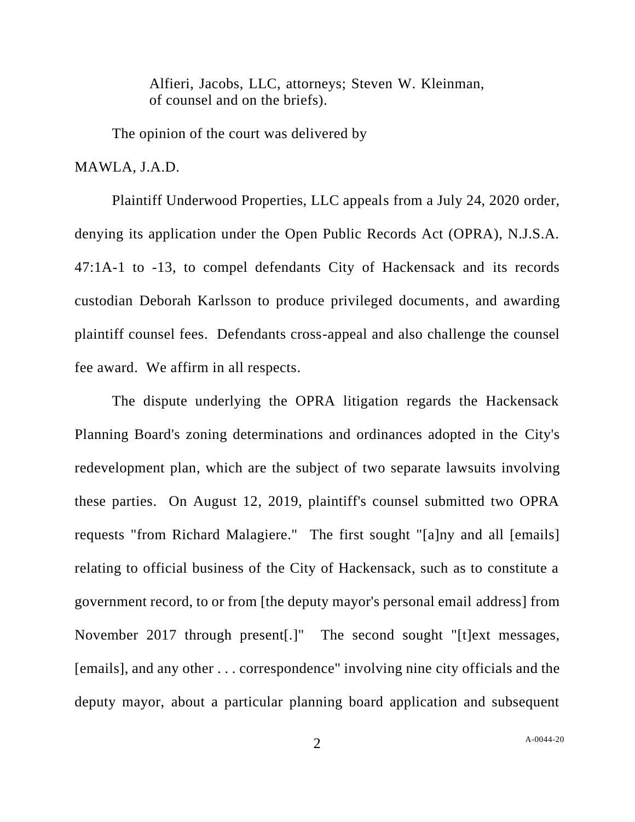Alfieri, Jacobs, LLC, attorneys; Steven W. Kleinman, of counsel and on the briefs).

The opinion of the court was delivered by

MAWLA, J.A.D.

Plaintiff Underwood Properties, LLC appeals from a July 24, 2020 order, denying its application under the Open Public Records Act (OPRA), N.J.S.A. 47:1A-1 to -13, to compel defendants City of Hackensack and its records custodian Deborah Karlsson to produce privileged documents, and awarding plaintiff counsel fees. Defendants cross-appeal and also challenge the counsel fee award. We affirm in all respects.

The dispute underlying the OPRA litigation regards the Hackensack Planning Board's zoning determinations and ordinances adopted in the City's redevelopment plan, which are the subject of two separate lawsuits involving these parties. On August 12, 2019, plaintiff's counsel submitted two OPRA requests "from Richard Malagiere." The first sought "[a]ny and all [emails] relating to official business of the City of Hackensack, such as to constitute a government record, to or from [the deputy mayor's personal email address] from November 2017 through present[.]" The second sought "[t]ext messages, [emails], and any other . . . correspondence" involving nine city officials and the deputy mayor, about a particular planning board application and subsequent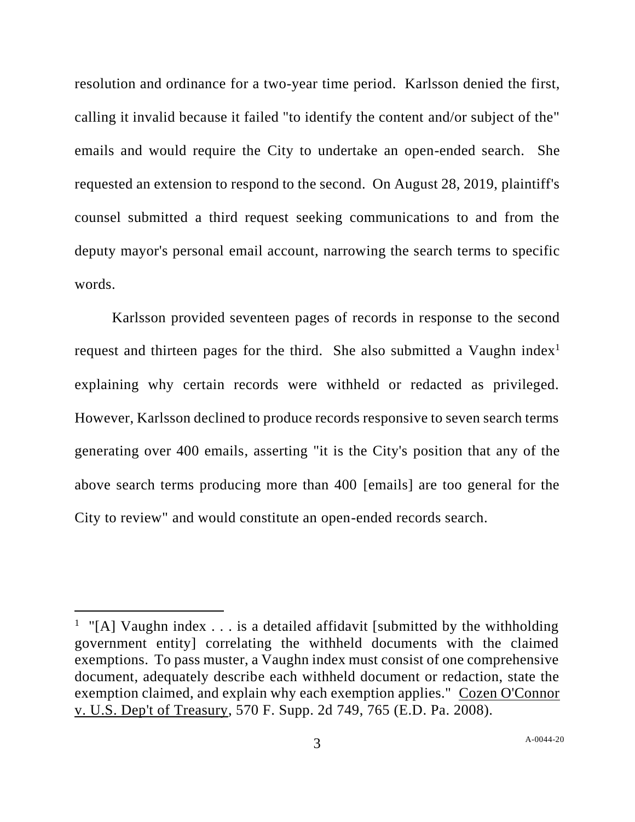resolution and ordinance for a two-year time period. Karlsson denied the first, calling it invalid because it failed "to identify the content and/or subject of the" emails and would require the City to undertake an open-ended search. She requested an extension to respond to the second. On August 28, 2019, plaintiff's counsel submitted a third request seeking communications to and from the deputy mayor's personal email account, narrowing the search terms to specific words.

Karlsson provided seventeen pages of records in response to the second request and thirteen pages for the third. She also submitted a Vaughn index<sup>1</sup> explaining why certain records were withheld or redacted as privileged. However, Karlsson declined to produce records responsive to seven search terms generating over 400 emails, asserting "it is the City's position that any of the above search terms producing more than 400 [emails] are too general for the City to review" and would constitute an open-ended records search.

<sup>&</sup>lt;sup>1</sup> "[A] Vaughn index . . . is a detailed affidavit [submitted by the withholding government entity] correlating the withheld documents with the claimed exemptions. To pass muster, a Vaughn index must consist of one comprehensive document, adequately describe each withheld document or redaction, state the exemption claimed, and explain why each exemption applies." Cozen O'Connor v. U.S. Dep't of Treasury, 570 F. Supp. 2d 749, 765 (E.D. Pa. 2008).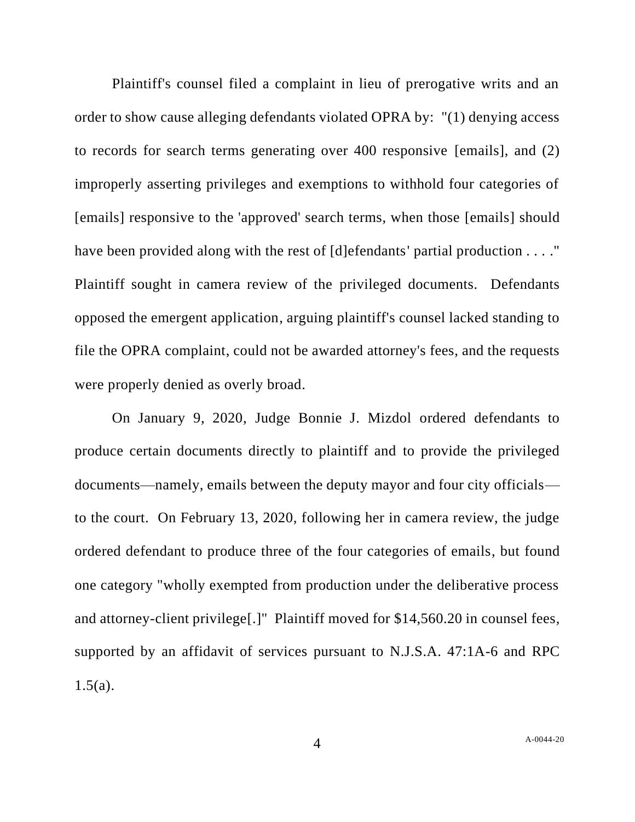Plaintiff's counsel filed a complaint in lieu of prerogative writs and an order to show cause alleging defendants violated OPRA by: "(1) denying access to records for search terms generating over 400 responsive [emails], and (2) improperly asserting privileges and exemptions to withhold four categories of [emails] responsive to the 'approved' search terms, when those [emails] should have been provided along with the rest of [d]efendants' partial production . . . ." Plaintiff sought in camera review of the privileged documents. Defendants opposed the emergent application, arguing plaintiff's counsel lacked standing to file the OPRA complaint, could not be awarded attorney's fees, and the requests were properly denied as overly broad.

On January 9, 2020, Judge Bonnie J. Mizdol ordered defendants to produce certain documents directly to plaintiff and to provide the privileged documents—namely, emails between the deputy mayor and four city officials to the court. On February 13, 2020, following her in camera review, the judge ordered defendant to produce three of the four categories of emails, but found one category "wholly exempted from production under the deliberative process and attorney-client privilege[.]" Plaintiff moved for \$14,560.20 in counsel fees, supported by an affidavit of services pursuant to N.J.S.A. 47:1A-6 and RPC  $1.5(a)$ .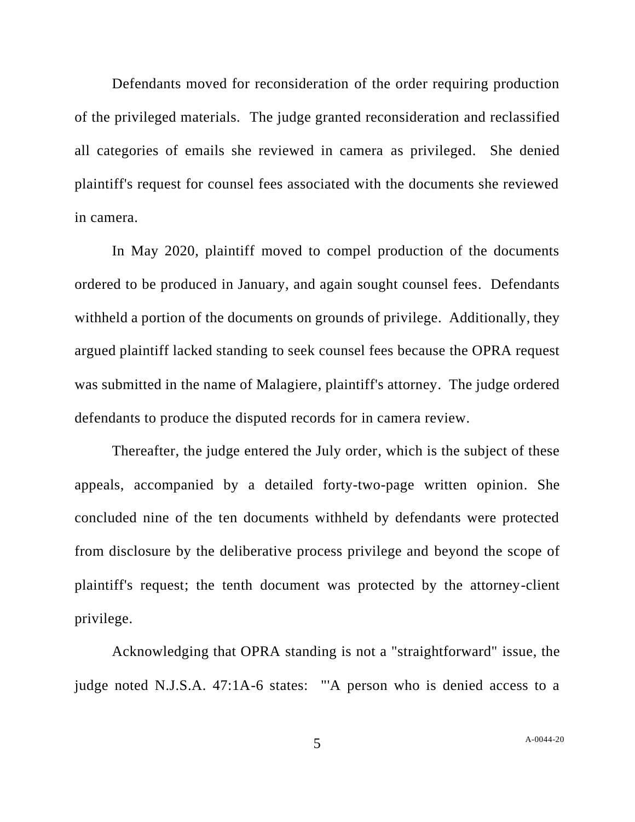Defendants moved for reconsideration of the order requiring production of the privileged materials. The judge granted reconsideration and reclassified all categories of emails she reviewed in camera as privileged. She denied plaintiff's request for counsel fees associated with the documents she reviewed in camera.

In May 2020, plaintiff moved to compel production of the documents ordered to be produced in January, and again sought counsel fees. Defendants withheld a portion of the documents on grounds of privilege. Additionally, they argued plaintiff lacked standing to seek counsel fees because the OPRA request was submitted in the name of Malagiere, plaintiff's attorney. The judge ordered defendants to produce the disputed records for in camera review.

Thereafter, the judge entered the July order, which is the subject of these appeals, accompanied by a detailed forty-two-page written opinion. She concluded nine of the ten documents withheld by defendants were protected from disclosure by the deliberative process privilege and beyond the scope of plaintiff's request; the tenth document was protected by the attorney-client privilege.

Acknowledging that OPRA standing is not a "straightforward" issue, the judge noted N.J.S.A. 47:1A-6 states: "'A person who is denied access to a

5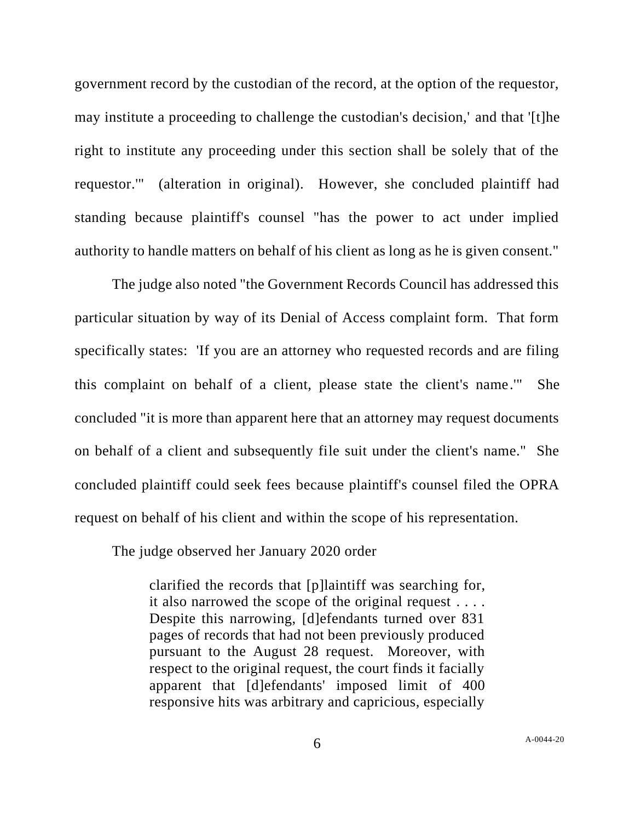government record by the custodian of the record, at the option of the requestor, may institute a proceeding to challenge the custodian's decision,' and that '[t]he right to institute any proceeding under this section shall be solely that of the requestor.'" (alteration in original). However, she concluded plaintiff had standing because plaintiff's counsel "has the power to act under implied authority to handle matters on behalf of his client as long as he is given consent."

The judge also noted "the Government Records Council has addressed this particular situation by way of its Denial of Access complaint form. That form specifically states: 'If you are an attorney who requested records and are filing this complaint on behalf of a client, please state the client's name.'" She concluded "it is more than apparent here that an attorney may request documents on behalf of a client and subsequently file suit under the client's name." She concluded plaintiff could seek fees because plaintiff's counsel filed the OPRA request on behalf of his client and within the scope of his representation.

The judge observed her January 2020 order

clarified the records that [p]laintiff was searching for, it also narrowed the scope of the original request . . . . Despite this narrowing, [d]efendants turned over 831 pages of records that had not been previously produced pursuant to the August 28 request. Moreover, with respect to the original request, the court finds it facially apparent that [d]efendants' imposed limit of 400 responsive hits was arbitrary and capricious, especially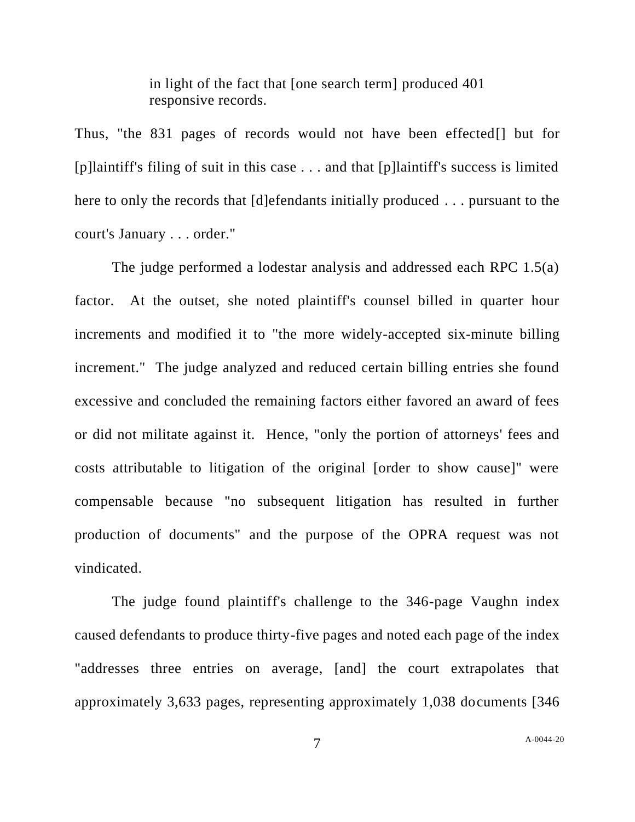in light of the fact that [one search term] produced 401 responsive records.

Thus, "the 831 pages of records would not have been effected[] but for [p]laintiff's filing of suit in this case . . . and that [p]laintiff's success is limited here to only the records that [d]efendants initially produced . . . pursuant to the court's January . . . order."

The judge performed a lodestar analysis and addressed each RPC 1.5(a) factor. At the outset, she noted plaintiff's counsel billed in quarter hour increments and modified it to "the more widely-accepted six-minute billing increment." The judge analyzed and reduced certain billing entries she found excessive and concluded the remaining factors either favored an award of fees or did not militate against it. Hence, "only the portion of attorneys' fees and costs attributable to litigation of the original [order to show cause]" were compensable because "no subsequent litigation has resulted in further production of documents" and the purpose of the OPRA request was not vindicated.

The judge found plaintiff's challenge to the 346-page Vaughn index caused defendants to produce thirty-five pages and noted each page of the index "addresses three entries on average, [and] the court extrapolates that approximately 3,633 pages, representing approximately 1,038 documents [346

7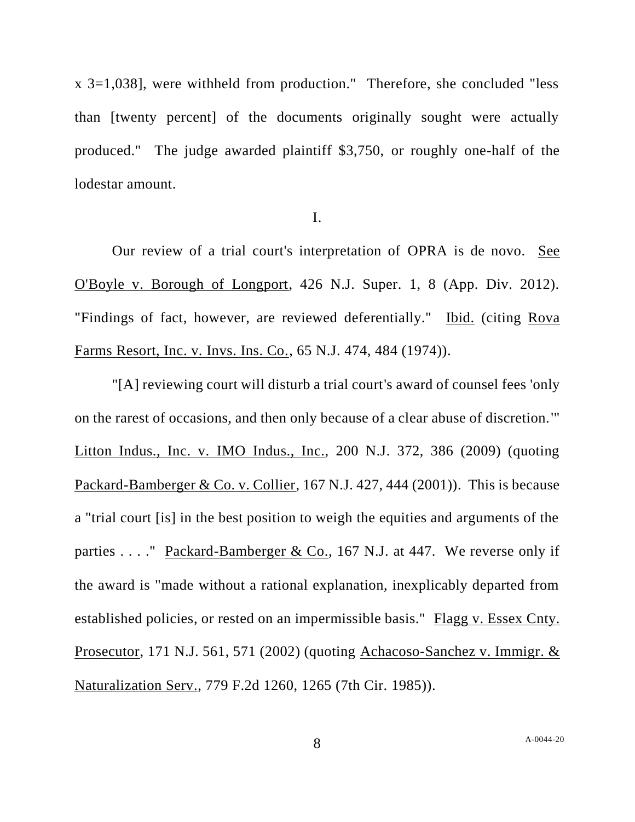x 3=1,038], were withheld from production." Therefore, she concluded "less than [twenty percent] of the documents originally sought were actually produced." The judge awarded plaintiff \$3,750, or roughly one-half of the lodestar amount.

I.

Our review of a trial court's interpretation of OPRA is de novo. See O'Boyle v. Borough of Longport, 426 N.J. Super. 1, 8 (App. Div. 2012). "Findings of fact, however, are reviewed deferentially." Ibid. (citing Rova Farms Resort, Inc. v. Invs. Ins. Co., 65 N.J. 474, 484 (1974)).

"[A] reviewing court will disturb a trial court's award of counsel fees 'only on the rarest of occasions, and then only because of a clear abuse of discretion.'" Litton Indus., Inc. v. IMO Indus., Inc., 200 N.J. 372, 386 (2009) (quoting Packard-Bamberger & Co. v. Collier, 167 N.J. 427, 444 (2001)). This is because a "trial court [is] in the best position to weigh the equities and arguments of the parties . . . . " Packard-Bamberger & Co., 167 N.J. at 447. We reverse only if the award is "made without a rational explanation, inexplicably departed from established policies, or rested on an impermissible basis." Flagg v. Essex Cnty. Prosecutor, 171 N.J. 561, 571 (2002) (quoting Achacoso-Sanchez v. Immigr. & Naturalization Serv., 779 F.2d 1260, 1265 (7th Cir. 1985)).

8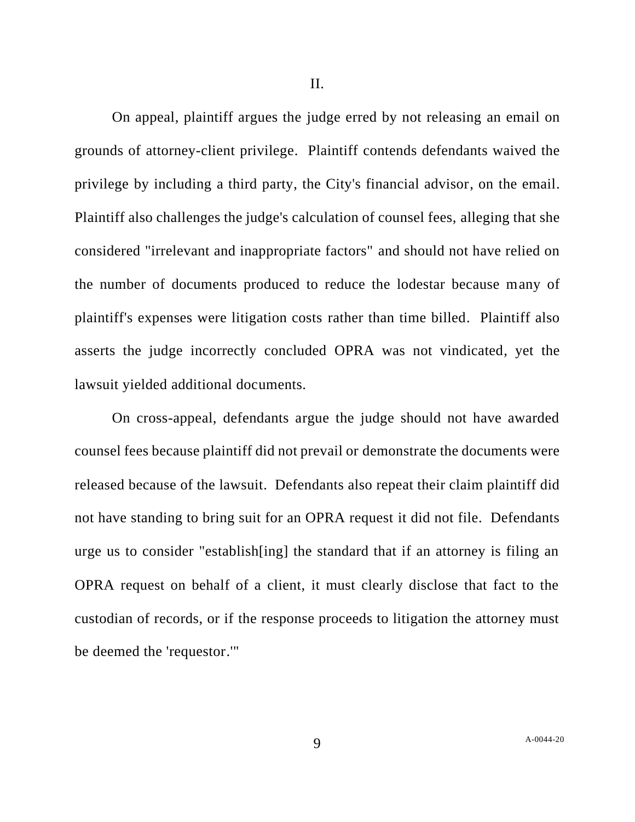II.

On appeal, plaintiff argues the judge erred by not releasing an email on grounds of attorney-client privilege. Plaintiff contends defendants waived the privilege by including a third party, the City's financial advisor, on the email. Plaintiff also challenges the judge's calculation of counsel fees, alleging that she considered "irrelevant and inappropriate factors" and should not have relied on the number of documents produced to reduce the lodestar because many of plaintiff's expenses were litigation costs rather than time billed. Plaintiff also asserts the judge incorrectly concluded OPRA was not vindicated, yet the lawsuit yielded additional documents.

On cross-appeal, defendants argue the judge should not have awarded counsel fees because plaintiff did not prevail or demonstrate the documents were released because of the lawsuit. Defendants also repeat their claim plaintiff did not have standing to bring suit for an OPRA request it did not file. Defendants urge us to consider "establish[ing] the standard that if an attorney is filing an OPRA request on behalf of a client, it must clearly disclose that fact to the custodian of records, or if the response proceeds to litigation the attorney must be deemed the 'requestor.'"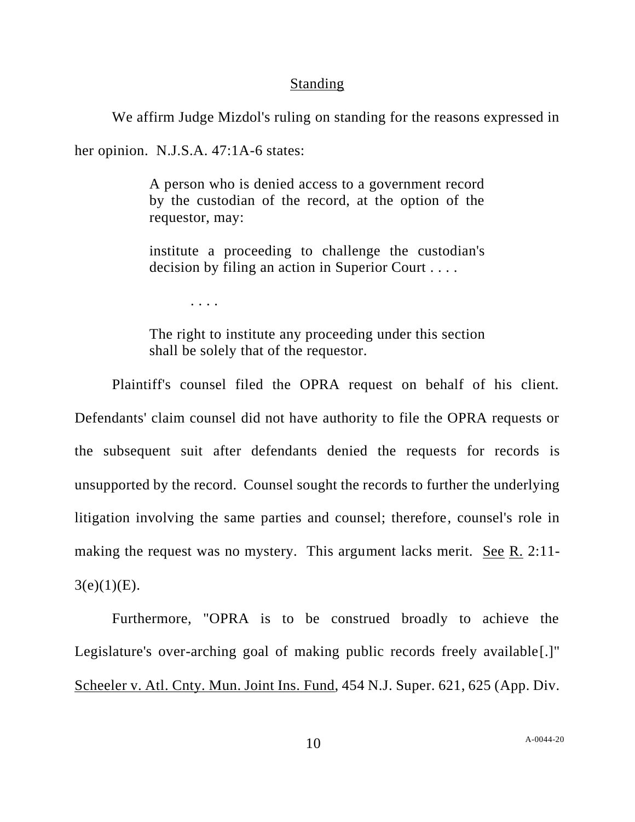### **Standing**

We affirm Judge Mizdol's ruling on standing for the reasons expressed in

her opinion. N.J.S.A. 47:1A-6 states:

A person who is denied access to a government record by the custodian of the record, at the option of the requestor, may:

institute a proceeding to challenge the custodian's decision by filing an action in Superior Court . . . .

. . . .

The right to institute any proceeding under this section shall be solely that of the requestor.

Plaintiff's counsel filed the OPRA request on behalf of his client. Defendants' claim counsel did not have authority to file the OPRA requests or the subsequent suit after defendants denied the requests for records is unsupported by the record. Counsel sought the records to further the underlying litigation involving the same parties and counsel; therefore, counsel's role in making the request was no mystery. This argument lacks merit. See R. 2:11-  $3(e)(1)(E)$ .

Furthermore, "OPRA is to be construed broadly to achieve the Legislature's over-arching goal of making public records freely available[.]" Scheeler v. Atl. Cnty. Mun. Joint Ins. Fund, 454 N.J. Super. 621, 625 (App. Div.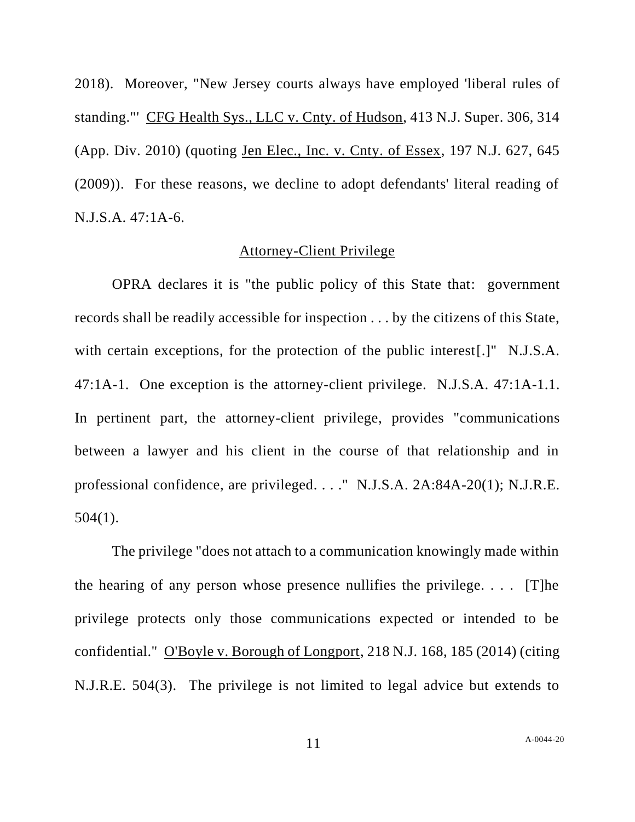2018). Moreover, "New Jersey courts always have employed 'liberal rules of standing."' CFG Health Sys., LLC v. Cnty. of Hudson, 413 N.J. Super. 306, 314 (App. Div. 2010) (quoting Jen Elec., Inc. v. Cnty. of Essex, 197 N.J. 627, 645 (2009)). For these reasons, we decline to adopt defendants' literal reading of N.J.S.A. 47:1A-6.

### Attorney-Client Privilege

OPRA declares it is "the public policy of this State that: government records shall be readily accessible for inspection . . . by the citizens of this State, with certain exceptions, for the protection of the public interest[.]" N.J.S.A. 47:1A-1. One exception is the attorney-client privilege. N.J.S.A. 47:1A-1.1. In pertinent part, the attorney-client privilege, provides "communications between a lawyer and his client in the course of that relationship and in professional confidence, are privileged. . . ." N.J.S.A. 2A:84A-20(1); N.J.R.E.  $504(1)$ .

The privilege "does not attach to a communication knowingly made within the hearing of any person whose presence nullifies the privilege....  $[T]$ he privilege protects only those communications expected or intended to be confidential." O'Boyle v. Borough of Longport, 218 N.J. 168, 185 (2014) (citing N.J.R.E. 504(3). The privilege is not limited to legal advice but extends to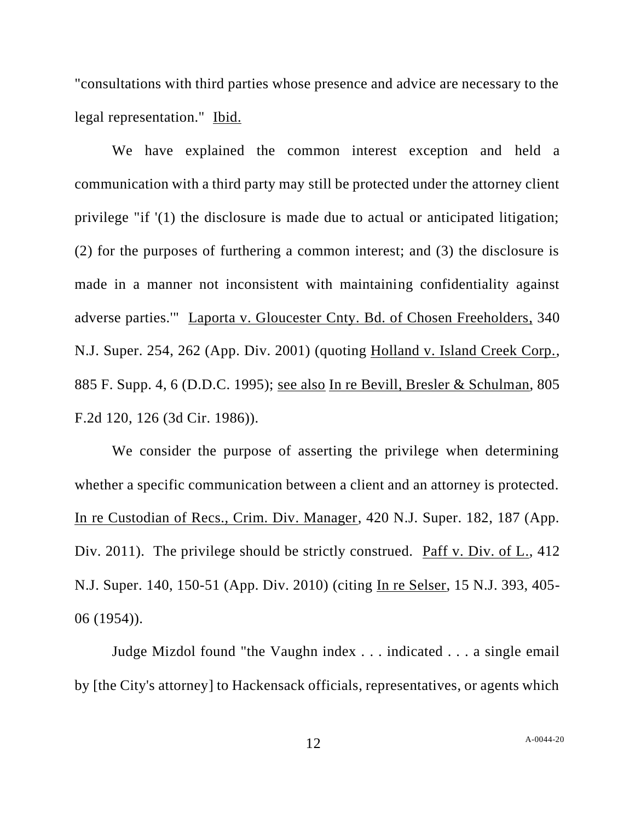"consultations with third parties whose presence and advice are necessary to the legal representation." Ibid.

We have explained the common interest exception and held a communication with a third party may still be protected under the attorney client privilege "if '(1) the disclosure is made due to actual or anticipated litigation; (2) for the purposes of furthering a common interest; and (3) the disclosure is made in a manner not inconsistent with maintaining confidentiality against adverse parties.'" Laporta v. Gloucester Cnty. Bd. of Chosen Freeholders, 340 N.J. Super. 254, 262 (App. Div. 2001) (quoting Holland v. Island Creek Corp., 885 F. Supp. 4, 6 (D.D.C. 1995); see also In re Bevill, Bresler & Schulman, 805 F.2d 120, 126 (3d Cir. 1986)).

We consider the purpose of asserting the privilege when determining whether a specific communication between a client and an attorney is protected. In re Custodian of Recs., Crim. Div. Manager, 420 N.J. Super. 182, 187 (App. Div. 2011). The privilege should be strictly construed. Paff v. Div. of L., 412 N.J. Super. 140, 150-51 (App. Div. 2010) (citing In re Selser, 15 N.J. 393, 405- 06 (1954)).

Judge Mizdol found "the Vaughn index . . . indicated . . . a single email by [the City's attorney] to Hackensack officials, representatives, or agents which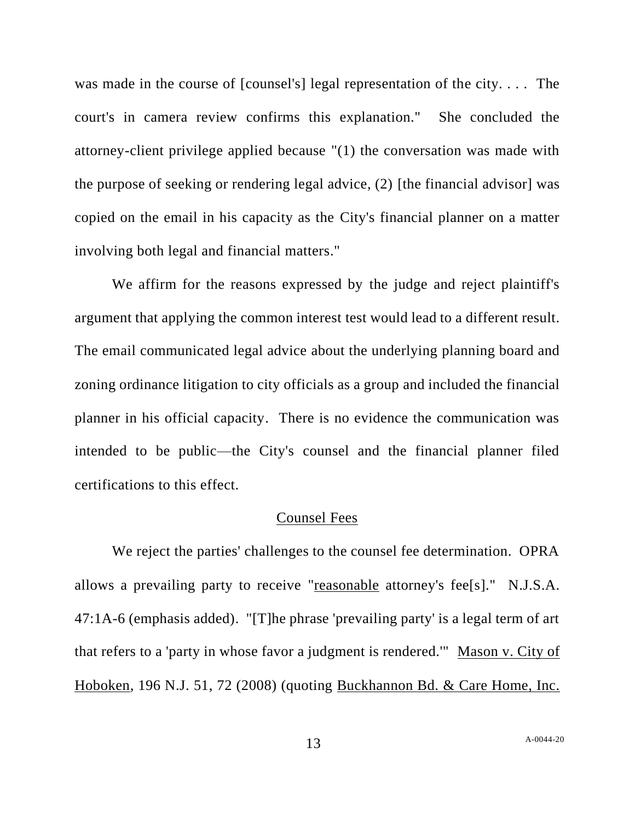was made in the course of [counsel's] legal representation of the city. . . . The court's in camera review confirms this explanation." She concluded the attorney-client privilege applied because "(1) the conversation was made with the purpose of seeking or rendering legal advice, (2) [the financial advisor] was copied on the email in his capacity as the City's financial planner on a matter involving both legal and financial matters."

We affirm for the reasons expressed by the judge and reject plaintiff's argument that applying the common interest test would lead to a different result. The email communicated legal advice about the underlying planning board and zoning ordinance litigation to city officials as a group and included the financial planner in his official capacity. There is no evidence the communication was intended to be public—the City's counsel and the financial planner filed certifications to this effect.

### Counsel Fees

We reject the parties' challenges to the counsel fee determination. OPRA allows a prevailing party to receive "reasonable attorney's fee[s]." N.J.S.A. 47:1A-6 (emphasis added). "[T]he phrase 'prevailing party' is a legal term of art that refers to a 'party in whose favor a judgment is rendered.'" Mason v. City of Hoboken, 196 N.J. 51, 72 (2008) (quoting Buckhannon Bd. & Care Home, Inc.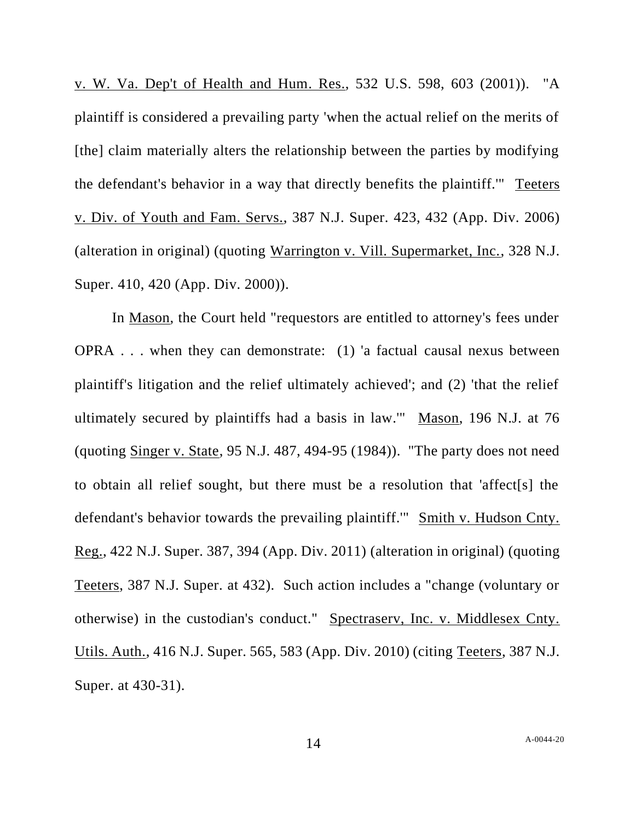v. W. Va. Dep't of Health and Hum. Res., 532 U.S. 598, 603 (2001)). "A plaintiff is considered a prevailing party 'when the actual relief on the merits of [the] claim materially alters the relationship between the parties by modifying the defendant's behavior in a way that directly benefits the plaintiff.'" Teeters v. Div. of Youth and Fam. Servs., 387 N.J. Super. 423, 432 (App. Div. 2006) (alteration in original) (quoting Warrington v. Vill. Supermarket, Inc., 328 N.J. Super. 410, 420 (App. Div. 2000)).

In Mason, the Court held "requestors are entitled to attorney's fees under OPRA . . . when they can demonstrate: (1) 'a factual causal nexus between plaintiff's litigation and the relief ultimately achieved'; and (2) 'that the relief ultimately secured by plaintiffs had a basis in law.'" Mason, 196 N.J. at 76 (quoting Singer v. State, 95 N.J. 487, 494-95 (1984)). "The party does not need to obtain all relief sought, but there must be a resolution that 'affect[s] the defendant's behavior towards the prevailing plaintiff.'" Smith v. Hudson Cnty. Reg., 422 N.J. Super. 387, 394 (App. Div. 2011) (alteration in original) (quoting Teeters, 387 N.J. Super. at 432). Such action includes a "change (voluntary or otherwise) in the custodian's conduct." Spectraserv, Inc. v. Middlesex Cnty. Utils. Auth., 416 N.J. Super. 565, 583 (App. Div. 2010) (citing Teeters, 387 N.J. Super. at 430-31).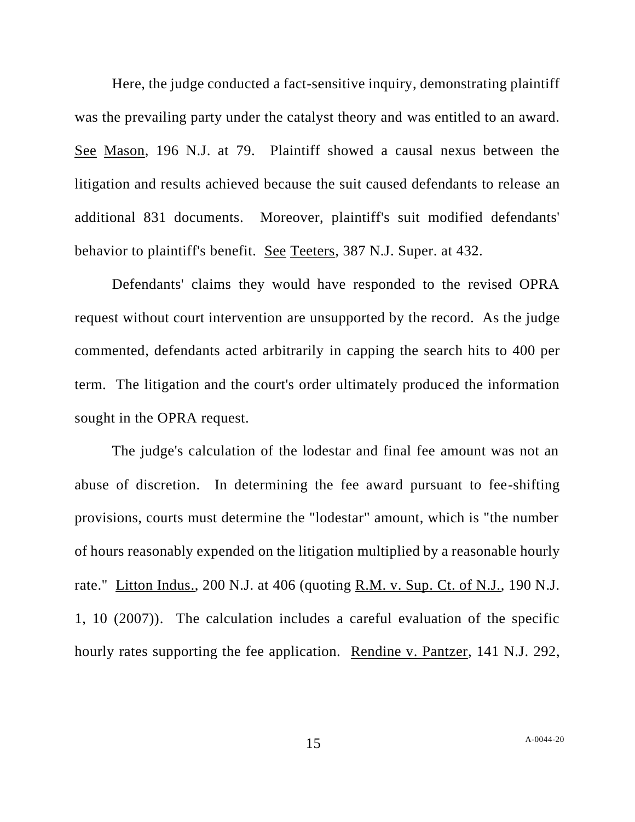Here, the judge conducted a fact-sensitive inquiry, demonstrating plaintiff was the prevailing party under the catalyst theory and was entitled to an award. See Mason, 196 N.J. at 79. Plaintiff showed a causal nexus between the litigation and results achieved because the suit caused defendants to release an additional 831 documents. Moreover, plaintiff's suit modified defendants' behavior to plaintiff's benefit. See Teeters, 387 N.J. Super. at 432.

Defendants' claims they would have responded to the revised OPRA request without court intervention are unsupported by the record. As the judge commented, defendants acted arbitrarily in capping the search hits to 400 per term. The litigation and the court's order ultimately produced the information sought in the OPRA request.

The judge's calculation of the lodestar and final fee amount was not an abuse of discretion. In determining the fee award pursuant to fee-shifting provisions, courts must determine the "lodestar" amount, which is "the number of hours reasonably expended on the litigation multiplied by a reasonable hourly rate." Litton Indus., 200 N.J. at 406 (quoting R.M. v. Sup. Ct. of N.J., 190 N.J. 1, 10 (2007)). The calculation includes a careful evaluation of the specific hourly rates supporting the fee application. Rendine v. Pantzer, 141 N.J. 292,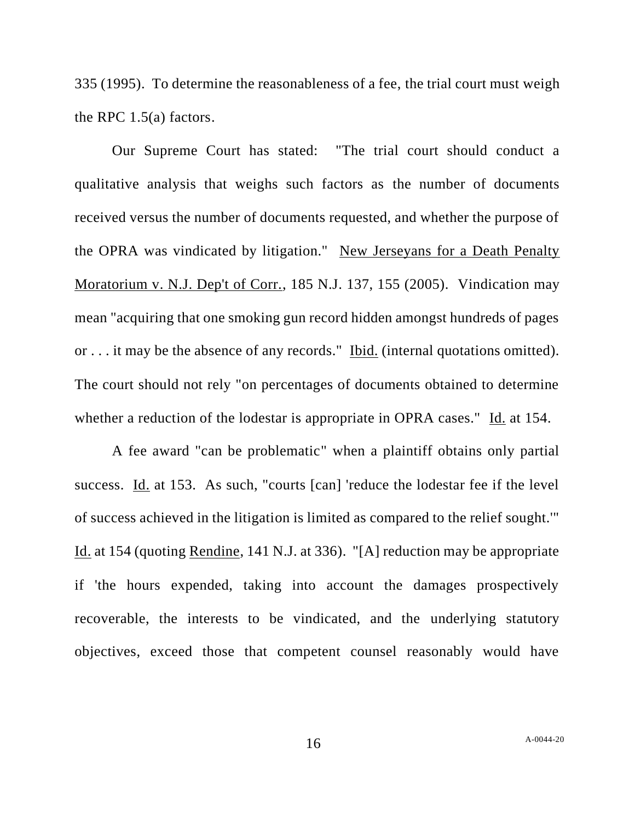335 (1995). To determine the reasonableness of a fee, the trial court must weigh the RPC 1.5(a) factors.

Our Supreme Court has stated: "The trial court should conduct a qualitative analysis that weighs such factors as the number of documents received versus the number of documents requested, and whether the purpose of the OPRA was vindicated by litigation." New Jerseyans for a Death Penalty Moratorium v. N.J. Dep't of Corr., 185 N.J. 137, 155 (2005). Vindication may mean "acquiring that one smoking gun record hidden amongst hundreds of pages or . . . it may be the absence of any records." Ibid. (internal quotations omitted). The court should not rely "on percentages of documents obtained to determine whether a reduction of the lodestar is appropriate in OPRA cases." Id. at 154.

A fee award "can be problematic" when a plaintiff obtains only partial success. Id. at 153. As such, "courts [can] 'reduce the lodestar fee if the level of success achieved in the litigation is limited as compared to the relief sought.'" Id. at 154 (quoting Rendine, 141 N.J. at 336). "[A] reduction may be appropriate if 'the hours expended, taking into account the damages prospectively recoverable, the interests to be vindicated, and the underlying statutory objectives, exceed those that competent counsel reasonably would have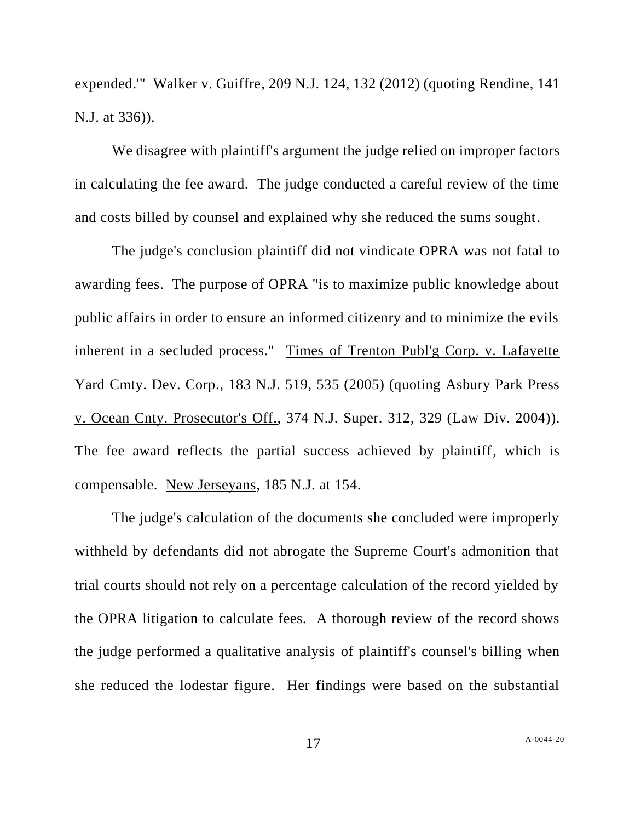expended.'" Walker v. Guiffre, 209 N.J. 124, 132 (2012) (quoting Rendine, 141 N.J. at 336)).

We disagree with plaintiff's argument the judge relied on improper factors in calculating the fee award. The judge conducted a careful review of the time and costs billed by counsel and explained why she reduced the sums sought.

The judge's conclusion plaintiff did not vindicate OPRA was not fatal to awarding fees. The purpose of OPRA "is to maximize public knowledge about public affairs in order to ensure an informed citizenry and to minimize the evils inherent in a secluded process." Times of Trenton Publ'g Corp. v. Lafayette Yard Cmty. Dev. Corp., 183 N.J. 519, 535 (2005) (quoting Asbury Park Press v. Ocean Cnty. Prosecutor's Off., 374 N.J. Super. 312, 329 (Law Div. 2004)). The fee award reflects the partial success achieved by plaintiff, which is compensable. New Jerseyans, 185 N.J. at 154.

The judge's calculation of the documents she concluded were improperly withheld by defendants did not abrogate the Supreme Court's admonition that trial courts should not rely on a percentage calculation of the record yielded by the OPRA litigation to calculate fees. A thorough review of the record shows the judge performed a qualitative analysis of plaintiff's counsel's billing when she reduced the lodestar figure. Her findings were based on the substantial